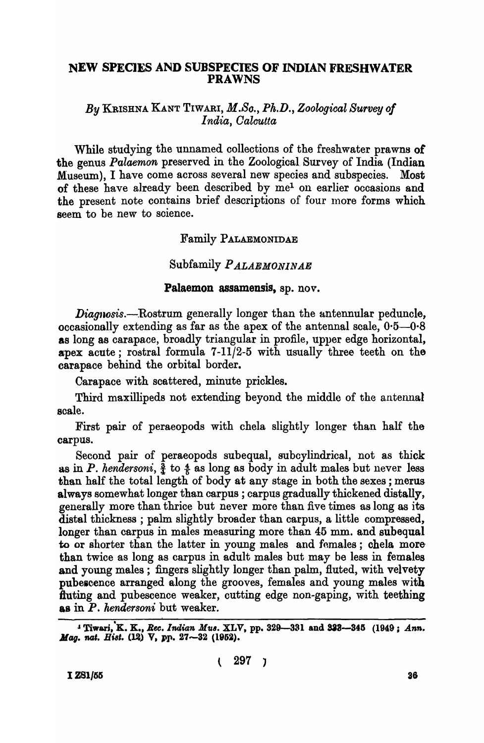### NEW SPECIES AND SUBSPECIES OF INDIAN FRESHWATER PRAWNS

*By* KRISHNA KANT TIWARI, *M.So., Ph.D., Zoological Survey of India, Oalcutta* 

While studying the unnamed collections of the freshwater prawns of the genus *Palaemon* preserved in the Zoological Survey of India (Indian Museum), I have come across several new species and subspecies. Most of these have already been described by me<sup>1</sup> on earlier occasions and the present note contains brief descriptions of four more forms which seem to be new to science.

# Family PALAEMONIDAE

# Subfamily *P ALAEMONINAE*

#### Palaemon assamensis, sp. nov.

*Diagnosis.-Rostrum* generally longer than the antennular peduncle, occasionally extending as far as the apex of the antennal scale,  $0.5-0.8$ as long as carapace, broadly triangular in profile, upper edge horizontal, apex acute; rostral formula 7-11/2-5 with usually three teeth on the carapace behind the orbital border.

Carapace with scattered, minute prickles.

Third maxillipeds not extending beyond the middle of the antennal scale.

First pair of peraeopods with chela slightly longer than half the carpus.

Second pair of peraeopods subequal, subcylindrical, not as thick as in *P. hendersoni*,  $\frac{3}{4}$  to  $\frac{4}{5}$  as long as body in adult males but never less than half the total length of body at any stage in both the sexes; merus always somewhat longer than carpus; carpus gradually thickened distally, generally more than thrice but never more than five times as long as its distal thickness; palm slightly broader than carpus, a little compressed, longer than carpus in males measuring more than 45 mm. and subequal to or shorter than the latter in young males and females; chela more than twice as long as carpus in adult males but may be less in females and young males; fingers slightly longer than palm, fluted, with velvety pubescence arranged along the grooves, females and young males with duting and pubescence weaker, cutting edge non-gaping, with teething &s in P. *hendersoni* but weaker.

I Tiwari, K. K., *Rec. Indian Mus. XLV*, pp. 329-331 and 333--345 (1949; Ann. *Mag. nat. Hist.* (12) V, pp. 27-32 (1952).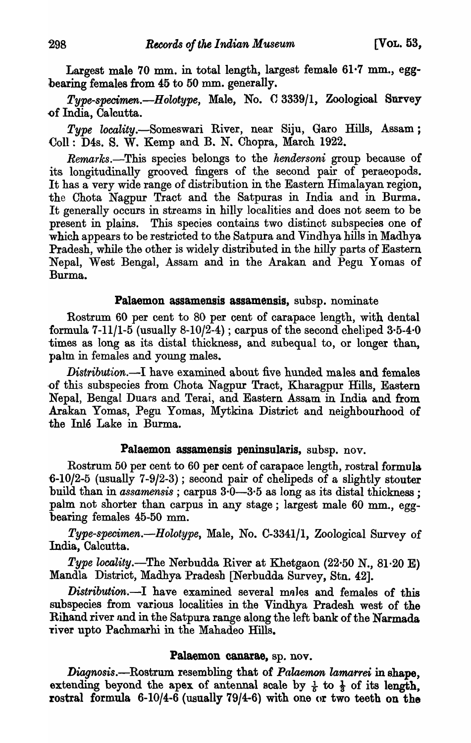Largest male 70 mm. in total length, largest female  $61.7$  mm., eggbearing females from 45 to 50 mm. generally.

*Type-specirnen.-Holotype,* Male, No. C 3339/1, Zoological Survey of India, Calcutta.

Type locality.-Someswari River, near Siju, Garo Hills, Assam; ColI: D4s. S. W. Kemp and B. N. Chopra, March 1922.

Remarks.-This species belongs to the *hendersoni* group because of its longitudinally grooved fingers of the second pair of peraeopods. It has a very wide range of distribution in the Eastern Himalayan region, the Chota Nagpur Tract and the Satpuras in India and in Burma. It generally occurs in streams in hilly localities and does not seem to be present in plains. This species contains two distinct subspecies one of which appears to be restricted to the Satpura and Vindhya hills in Madhya Pradesh, while the other is widely distributed in the hilly parts of Eastern Nepal, West Bengal, Assam and in the Arakan and Pegu Yomas of Burma.

### Palaemon assamensis assamensis, subsp. nominate

Rostrum 60 per cent to 80 per cent of carapace length, with dental formula 7-11/1-5 (usually  $8-10/2-4$ ); carpus of the second cheliped  $3-5-4-0$ times as long as its distal thickness, and subequal to, or longer than, palm in females and young males.

*Distribution.-I* have examined about five hunded males and females -of this subspecies from Chota Nagpur Tract, Kharagpur Hills, Eastern Nepal, Bengal Duars and Terai, and Eastern Assam in India and from Arakan Yomas, Pegu Yomas, Mytkina District and neighbourhood of the Inle Lake in Burma.

#### Palaemon assamensis peninsularis, subsp. nov.

Rostrum 50 per cent to 60 per cent of carapace length, rostral formula  $-6$ -10/2-5 (usually 7-9/2-3); second pair of chelipeds of a slightly stouter build than in *assamensis* ; carpus 3·0-3·5 as long as its distal thickness ; palm not shorter than carpus in any stage; largest male 60 mm., eggbearing females 45-50 mm.

*Type-specirnen.-Holotype,* Male, No. C-3341/1, Zoological Survey of India, Calcutta.

*Type locality\_-The* Nerbudda River at Khetgaon (22-50 N., 81-20 E) Mandla District, Madhya Pradesh [Nerbudda Survey, Stn. 42].

*Distribution.*-I have examined several males and females of this subspecies from various localities in the Vindhya Pradesh west of the Rihand river and in the Satpura range along the left bank of the Narmada -river upto Pachmarhi in the Mahadeo Hills.

### Palaemon canarae, sp. nov.

Diagnosis.—Rostrum resembling that of *Palaemon lamarrei* in shape, extending beyond the apex of antennal scale by  $\frac{1}{6}$  to  $\frac{1}{3}$  of its length, rostral formula 6-10/4-6 (usually 79/4-6) with one or two teeth on the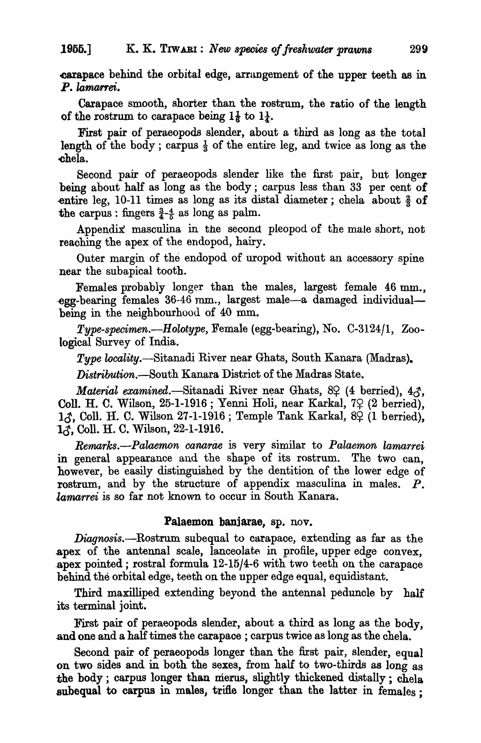.carapace behind the orbital edge, arrungement of the upper teeth as in P. lamarrei.

Carapace smooth, shorter than the rostrum, the ratio of the length of the rostrum to carapace being  $1\frac{1}{6}$  to  $1\frac{1}{4}$ .

First pair of peraeopods slender, about a third as long as the total length of the body; carpus  $\frac{1}{3}$  of the entire leg, and twice as long as the -chela.

Second pair of peraeopods slender like the first pair, but longer being about half as long as the body; carpus less than 33 per cent of entire leg, 10-11 times as long as its distal diameter; chela about  $\frac{2}{3}$  of the carpus: fingers  $\frac{3}{4}$ - $\frac{4}{5}$  as long as palm.

Appendix masculina in the second pleopod of the male short, not reaching the apex of the endopod, hairy.

Outer margin of the endopod of uropod without an accessory spine near the subapical tooth.

Females probably longer than the males, largest female 46 mm., -egg-bearing females 36-46 mm., largest male-a damaged individualbeing in the neighbourhood of 40 mm.

*Type-specimen.-Holotype,* Female (egg-bearing), No. C-3124/1, Zoological Survey of India.

*Type locality.*—Sitanadi River near Ghats, South Kanara (Madras).

*Distribution.-South* Kanara District of the Madras State.

*Material examined.*-Sitanadi River near Ghats, 8º (4 berried), 43, Coll. H. C. Wilson, 25-1-1916 ; Yenni Holi, near Karkal, 79 (2 berried),  $1.3$ , Coll. H. C. Wilson 27-1-1916 ; Temple Tank Karkal, 8 $\varphi$  (1 berried), 13, Coll. H. C. Wilson, 22-1-1916.

*Remarks.—Palaemon canarae* is very similar to *Palaemon lamarrei* in general appearance and the shape of its rostrum. The two can, however, be easily distinguished by the dentition of the lower edge of rostrum, and by the structure of appendix masculina in males. P. *larnarrei* is so far not known to occur in South Kanara.

#### Palaemon banjarae, ap. nov.

Diagnosis.—Rostrum subequal to carapace, extending as far as the .apex of the antennal scale, lanceolate in profile, upper edge convex, .apex pointed; rostral formula 12-15/4-6 with two teeth on the carapace behind the orbital edge, teeth on the upper edge equal, equidistant.

Third maxilliped extending beyond the antennal peduncle by half its terminal joint.

First pair of peraeopods slender, about a third as long as the body, and one and a half times the carapace ; carpus twice as long as the chela.

Second pair of peraeopods longer than the first pair, slender, equal on two sides and in both the sexes, from half to two-thirds as long as the body; carpus longer than merus, slightly thickened distally; chela subequal to carpus in males, trifle longer than the latter in females;